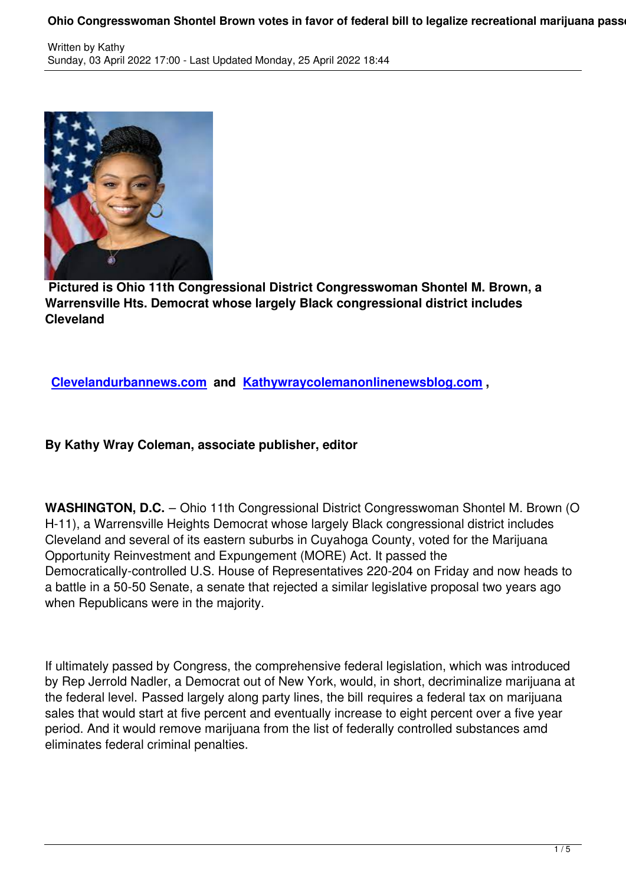

 **Pictured is Ohio 11th Congressional District Congresswoman Shontel M. Brown, a Warrensville Hts. Democrat whose largely Black congressional district includes Cleveland**

**Clevelandurbannews.com and Kathywraycolemanonlinenewsblog.com ,**

## **[By Kathy Wray Coleman, as](http://clevelandurbannews.com/)soci[ate publisher, editor](https://www.kathywraycolemanonlinenewsblog.com)**

**WASHINGTON, D.C.** – Ohio 11th Congressional District Congresswoman Shontel M. Brown (O H-11), a Warrensville Heights Democrat whose largely Black congressional district includes Cleveland and several of its eastern suburbs in Cuyahoga County, voted for the Marijuana Opportunity Reinvestment and Expungement (MORE) Act. It passed the Democratically-controlled U.S. House of Representatives 220-204 on Friday and now heads to a battle in a 50-50 Senate, a senate that rejected a similar legislative proposal two years ago when Republicans were in the majority.

If ultimately passed by Congress, the comprehensive federal legislation, which was introduced by Rep Jerrold Nadler, a Democrat out of New York, would, in short, decriminalize marijuana at the federal level. Passed largely along party lines, the bill requires a federal tax on marijuana sales that would start at five percent and eventually increase to eight percent over a five year period. And it would remove marijuana from the list of federally controlled substances amd eliminates federal criminal penalties.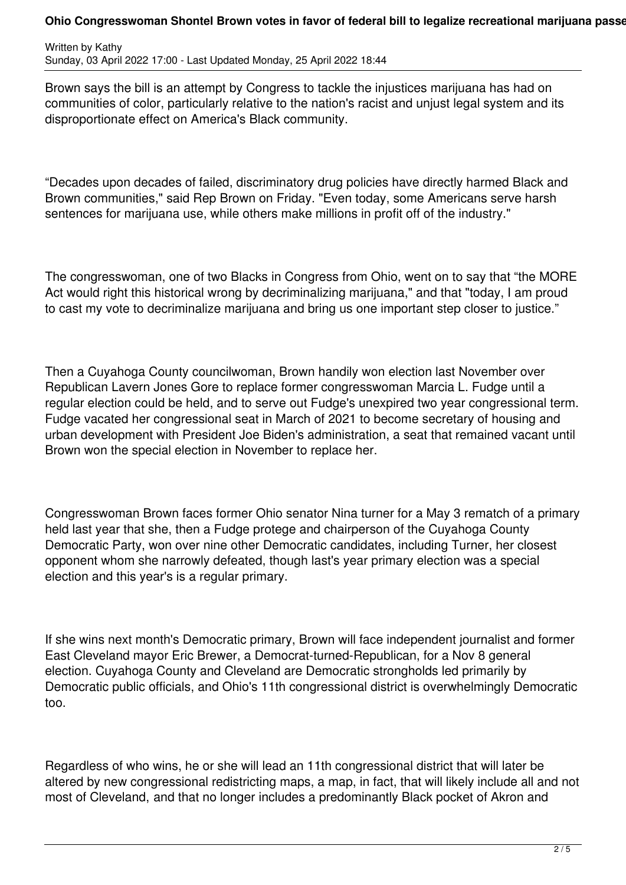## Ohio Congresswoman Shontel Brown votes in favor of federal bill to legalize recreational marijuana passe

Written by Kathy Sunday, 03 April 2022 17:00 - Last Updated Monday, 25 April 2022 18:44

Brown says the bill is an attempt by Congress to tackle the injustices marijuana has had on communities of color, particularly relative to the nation's racist and unjust legal system and its disproportionate effect on America's Black community.

"Decades upon decades of failed, discriminatory drug policies have directly harmed Black and Brown communities," said Rep Brown on Friday. "Even today, some Americans serve harsh sentences for marijuana use, while others make millions in profit off of the industry."

The congresswoman, one of two Blacks in Congress from Ohio, went on to say that "the MORE Act would right this historical wrong by decriminalizing marijuana," and that "today, I am proud to cast my vote to decriminalize marijuana and bring us one important step closer to justice."

Then a Cuyahoga County councilwoman, Brown handily won election last November over Republican Lavern Jones Gore to replace former congresswoman Marcia L. Fudge until a regular election could be held, and to serve out Fudge's unexpired two year congressional term. Fudge vacated her congressional seat in March of 2021 to become secretary of housing and urban development with President Joe Biden's administration, a seat that remained vacant until Brown won the special election in November to replace her.

Congresswoman Brown faces former Ohio senator Nina turner for a May 3 rematch of a primary held last year that she, then a Fudge protege and chairperson of the Cuyahoga County Democratic Party, won over nine other Democratic candidates, including Turner, her closest opponent whom she narrowly defeated, though last's year primary election was a special election and this year's is a regular primary.

If she wins next month's Democratic primary, Brown will face independent journalist and former East Cleveland mayor Eric Brewer, a Democrat-turned-Republican, for a Nov 8 general election. Cuyahoga County and Cleveland are Democratic strongholds led primarily by Democratic public officials, and Ohio's 11th congressional district is overwhelmingly Democratic too.

Regardless of who wins, he or she will lead an 11th congressional district that will later be altered by new congressional redistricting maps, a map, in fact, that will likely include all and not most of Cleveland, and that no longer includes a predominantly Black pocket of Akron and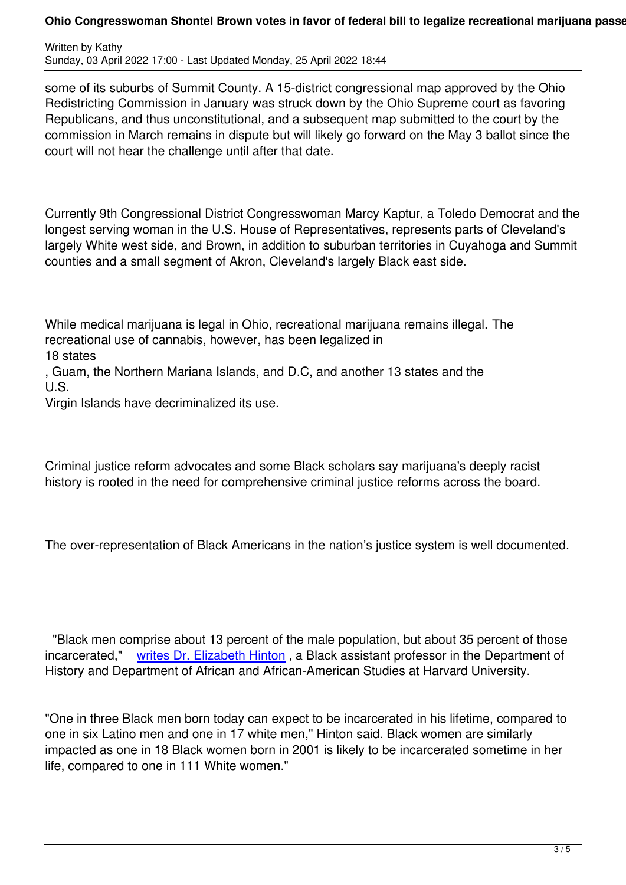some of its suburbs of Summit County. A 15-district congressional map approved by the Ohio Redistricting Commission in January was struck down by the Ohio Supreme court as favoring Republicans, and thus unconstitutional, and a subsequent map submitted to the court by the commission in March remains in dispute but will likely go forward on the May 3 ballot since the court will not hear the challenge until after that date.

Currently 9th Congressional District Congresswoman Marcy Kaptur, a Toledo Democrat and the longest serving woman in the U.S. House of Representatives, represents parts of Cleveland's largely White west side, and Brown, in addition to suburban territories in Cuyahoga and Summit counties and a small segment of Akron, Cleveland's largely Black east side.

While medical marijuana is legal in Ohio, recreational marijuana remains illegal. The recreational use of cannabis, however, has been legalized in 18 states

, Guam, the Northern Mariana Islands, and D.C, and another 13 states and the U.S.

Virgin Islands have decriminalized its use.

Criminal justice reform advocates and some Black scholars say marijuana's deeply racist history is rooted in the need for comprehensive criminal justice reforms across the board.

The over-representation of Black Americans in the nation's justice system is well documented.

 "Black men comprise about 13 percent of the male population, but about 35 percent of those incarcerated," writes Dr. Elizabeth Hinton , a Black assistant professor in the Department of History and Department of African and African-American Studies at Harvard University.

"One in three Bl[ack men born today can ex](https://www.vera.org/downloads/publications/for-the-record-unjust-burden-racial-disparities.pdf)pect to be incarcerated in his lifetime, compared to one in six Latino men and one in 17 white men," Hinton said. Black women are similarly impacted as one in 18 Black women born in 2001 is likely to be incarcerated sometime in her life, compared to one in 111 White women."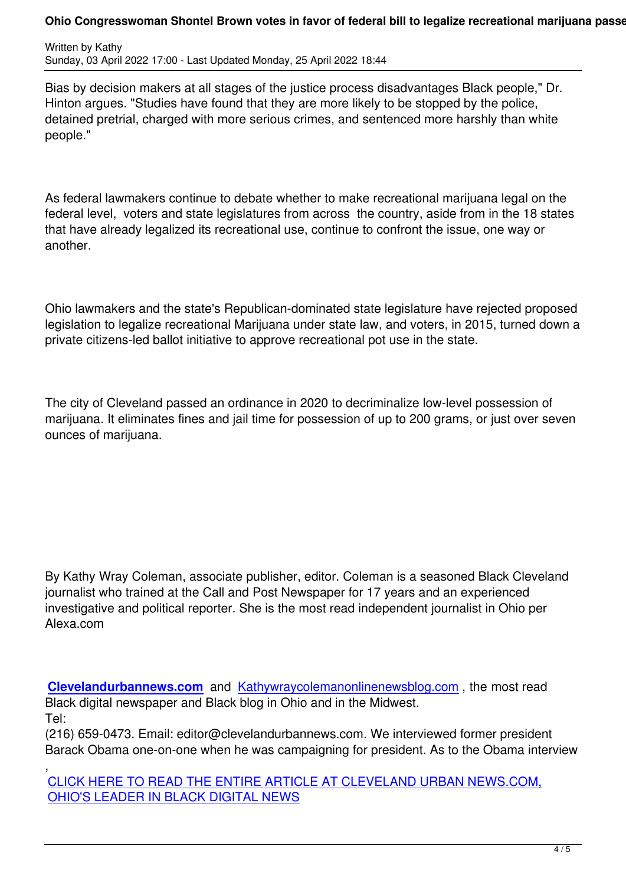Bias by decision makers at all stages of the justice process disadvantages Black people," Dr. Hinton argues. "Studies have found that they are more likely to be stopped by the police, detained pretrial, charged with more serious crimes, and sentenced more harshly than white people."

As federal lawmakers continue to debate whether to make recreational marijuana legal on the federal level, voters and state legislatures from across the country, aside from in the 18 states that have already legalized its recreational use, continue to confront the issue, one way or another.

Ohio lawmakers and the state's Republican-dominated state legislature have rejected proposed legislation to legalize recreational Marijuana under state law, and voters, in 2015, turned down a private citizens-led ballot initiative to approve recreational pot use in the state.

The city of Cleveland passed an ordinance in 2020 to decriminalize low-level possession of marijuana. It eliminates fines and jail time for possession of up to 200 grams, or just over seven ounces of marijuana.

By Kathy Wray Coleman, associate publisher, editor. Coleman is a seasoned Black Cleveland journalist who trained at the Call and Post Newspaper for 17 years and an experienced investigative and political reporter. She is the most read independent journalist in Ohio per Alexa.com

**Clevelandurbannews.com** and Kathywraycolemanonlinenewsblog.com , the most read Black digital newspaper and Black blog in Ohio and in the Midwest. Tel:

[\(216\) 659-0473. Email: edito](http://clevelandurbannews.com/)r@cle[velandurbannews.com. We interviewed](https://www.kathywraycolemanonlinenewsblog.com) former president Barack Obama one-on-one when he was campaigning for president. As to the Obama interview

, CLICK HERE TO READ THE ENTIRE ARTICLE AT CLEVELAND URBAN NEWS.COM, OHIO'S LEADER IN BLACK DIGITAL NEWS